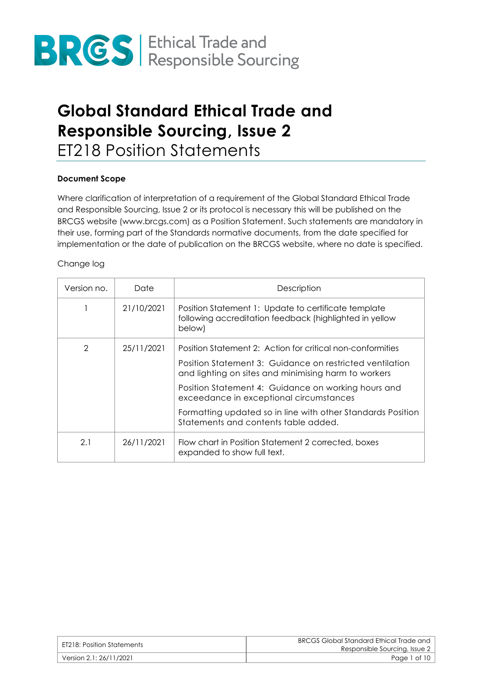

### **Global Standard Ethical Trade and Responsible Sourcing, Issue 2** ET218 Position Statements

### **Document Scope**

Where clarification of interpretation of a requirement of the Global Standard Ethical Trade and Responsible Sourcing, Issue 2 or its protocol is necessary this will be published on the BRCGS website (www.brcgs.com) as a Position Statement. Such statements are mandatory in their use, forming part of the Standards normative documents, from the date specified for implementation or the date of publication on the BRCGS website, where no date is specified.

### Change log

| Version no.   | Date       | Description                                                                                                               |
|---------------|------------|---------------------------------------------------------------------------------------------------------------------------|
|               | 21/10/2021 | Position Statement 1: Update to certificate template<br>following accreditation feedback (highlighted in yellow<br>below) |
| $\mathcal{P}$ | 25/11/2021 | Position Statement 2: Action for critical non-conformities                                                                |
|               |            | Position Statement 3: Guidance on restricted ventilation<br>and lighting on sites and minimising harm to workers          |
|               |            | Position Statement 4: Guidance on working hours and<br>exceedance in exceptional circumstances                            |
|               |            | Formatting updated so in line with other Standards Position<br>Statements and contents table added.                       |
| 2.1           | 26/11/2021 | Flow chart in Position Statement 2 corrected, boxes<br>expanded to show full text.                                        |

| ET218: Position Statements | BRCGS Global Standard Ethical Trade and<br>Responsible Sourcing, Issue 2 |
|----------------------------|--------------------------------------------------------------------------|
| Version 2.1: 26/11/2021    | Page 1 of 10                                                             |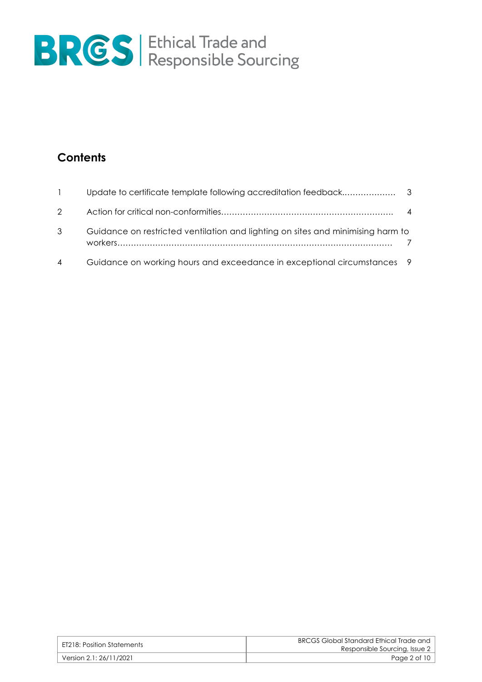

### **Contents**

| $\mathbf{1}$   |                                                                                 |  |
|----------------|---------------------------------------------------------------------------------|--|
|                |                                                                                 |  |
| 3              | Guidance on restricted ventilation and lighting on sites and minimising harm to |  |
| $\overline{4}$ | Guidance on working hours and exceedance in exceptional circumstances 9         |  |

| ET218: Position Statements | BRCGS Global Standard Ethical Trade and<br>Responsible Sourcing, Issue 2 |
|----------------------------|--------------------------------------------------------------------------|
| Version 2.1: 26/11/2021    | Page 2 of 10                                                             |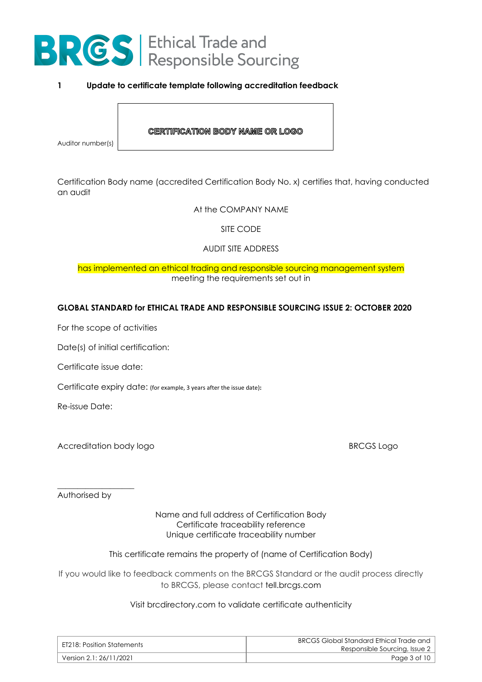

### **1 Update to certificate template following accreditation feedback**

#### **CERTIFICATION BODY NAME OR LOGO**

Auditor number(s)

Certification Body name (accredited Certification Body No. x) certifies that, having conducted an audit

At the COMPANY NAME

SITE CODE

AUDIT SITE ADDRESS

### has implemented an ethical trading and responsible sourcing management system meeting the requirements set out in

### **GLOBAL STANDARD for ETHICAL TRADE AND RESPONSIBLE SOURCING ISSUE 2: OCTOBER 2020**

For the scope of activities

Date(s) of initial certification:

Certificate issue date:

Certificate expiry date: (for example, 3 years after the issue date)**:**

Re-issue Date:

Accreditation body logo **BRCGS** Logo

Authorised by

\_\_\_\_\_\_\_\_\_\_\_\_\_\_\_\_\_\_\_

Name and full address of Certification Body Certificate traceability reference Unique certificate traceability number

This certificate remains the property of (name of Certification Body)

If you would like to feedback comments on the BRCGS Standard or the audit process directly to BRCGS, please contact tell.brcgs.com

#### Visit brcdirectory.com to validate certificate authenticity

| ET218: Position Statements | BRCGS Global Standard Ethical Trade and<br>Responsible Sourcing, Issue 2 |
|----------------------------|--------------------------------------------------------------------------|
| Version 2.1: 26/11/2021    | Page 3 of 10                                                             |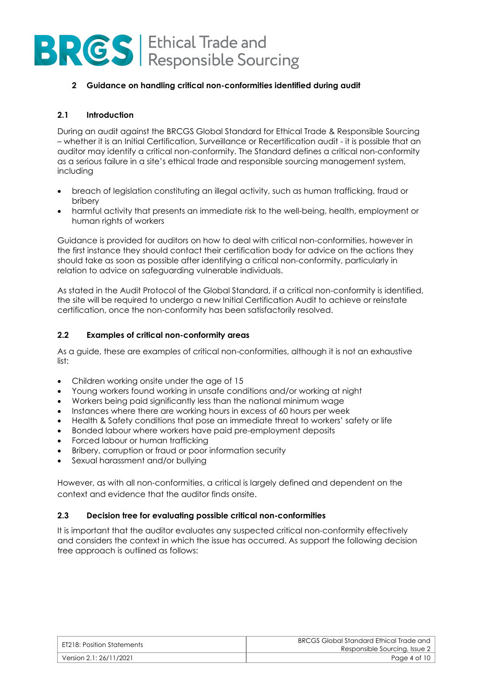### **2 Guidance on handling critical non-conformities identified during audit**

### **2.1 Introduction**

During an audit against the BRCGS Global Standard for Ethical Trade & Responsible Sourcing – whether it is an Initial Certification, Surveillance or Recertification audit - it is possible that an auditor may identify a critical non-conformity. The Standard defines a critical non-conformity as a serious failure in a site's ethical trade and responsible sourcing management system, including

- breach of legislation constituting an illegal activity, such as human trafficking, fraud or bribery
- harmful activity that presents an immediate risk to the well-being, health, employment or human rights of workers

Guidance is provided for auditors on how to deal with critical non-conformities, however in the first instance they should contact their certification body for advice on the actions they should take as soon as possible after identifying a critical non-conformity, particularly in relation to advice on safeguarding vulnerable individuals.

As stated in the Audit Protocol of the Global Standard, if a critical non-conformity is identified, the site will be required to undergo a new Initial Certification Audit to achieve or reinstate certification, once the non-conformity has been satisfactorily resolved.

### **2.2 Examples of critical non-conformity areas**

As a guide, these are examples of critical non-conformities, although it is not an exhaustive list:

- Children working onsite under the age of 15
- Young workers found working in unsafe conditions and/or working at night
- Workers being paid significantly less than the national minimum wage
- Instances where there are working hours in excess of 60 hours per week
- Health & Safety conditions that pose an immediate threat to workers' safety or life
- Bonded labour where workers have paid pre-employment deposits
- Forced labour or human trafficking
- Bribery, corruption or fraud or poor information security
- Sexual harassment and/or bullying

However, as with all non-conformities, a critical is largely defined and dependent on the context and evidence that the auditor finds onsite.

### **2.3 Decision tree for evaluating possible critical non-conformities**

It is important that the auditor evaluates any suspected critical non-conformity effectively and considers the context in which the issue has occurred. As support the following decision tree approach is outlined as follows:

| ET218: Position Statements | BRCGS Global Standard Ethical Trade and<br>Responsible Sourcing, Issue 2 |
|----------------------------|--------------------------------------------------------------------------|
| Version 2.1: 26/11/2021    | Page 4 of 10                                                             |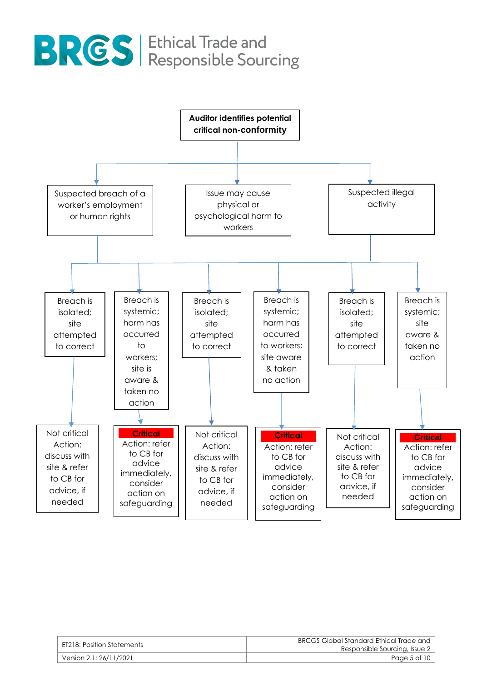

| ET218: Position Statements | BRCGS Global Standard Ethical Trade and<br>Responsible Sourcing, Issue 2 |
|----------------------------|--------------------------------------------------------------------------|
| Version 2.1: 26/11/2021    | Page 5 of 10                                                             |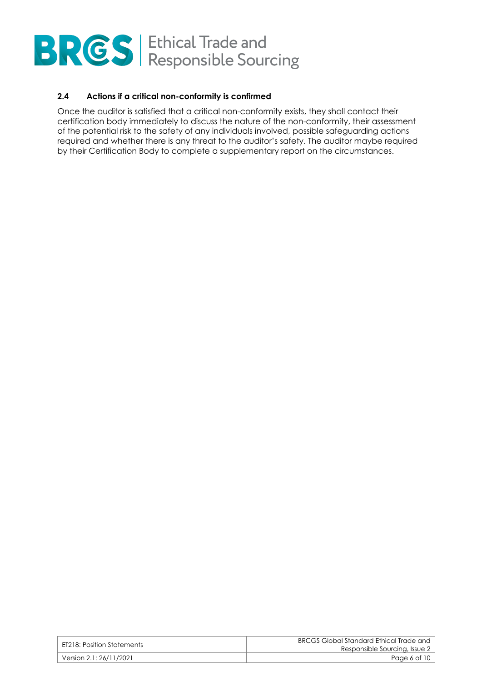### **2.4 Actions if a critical non-conformity is confirmed**

Once the auditor is satisfied that a critical non-conformity exists, they shall contact their certification body immediately to discuss the nature of the non-conformity, their assessment of the potential risk to the safety of any individuals involved, possible safeguarding actions required and whether there is any threat to the auditor's safety. The auditor maybe required by their Certification Body to complete a supplementary report on the circumstances.

| ET218: Position Statements | BRCGS Global Standard Ethical Trade and<br>Responsible Sourcing, Issue 2 |
|----------------------------|--------------------------------------------------------------------------|
| Version 2.1: 26/11/2021    | Page 6 of 10                                                             |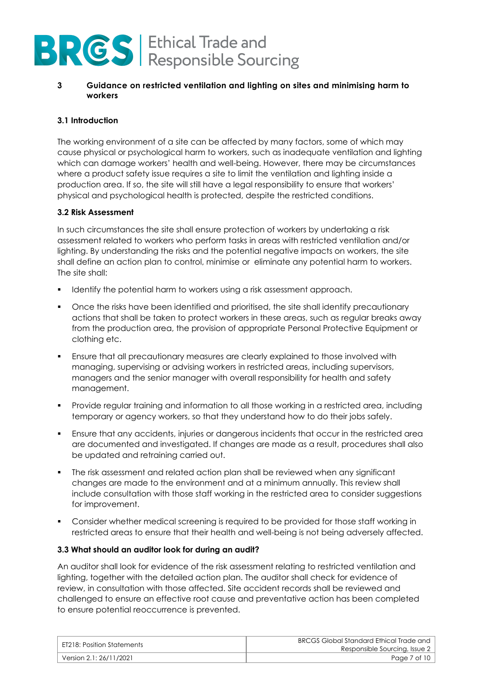### **3 Guidance on restricted ventilation and lighting on sites and minimising harm to workers**

### **3.1 Introduction**

The working environment of a site can be affected by many factors, some of which may cause physical or psychological harm to workers, such as inadequate ventilation and lighting which can damage workers' health and well-being. However, there may be circumstances where a product safety issue requires a site to limit the ventilation and lighting inside a production area. If so, the site will still have a legal responsibility to ensure that workers' physical and psychological health is protected, despite the restricted conditions.

### **3.2 Risk Assessment**

In such circumstances the site shall ensure protection of workers by undertaking a risk assessment related to workers who perform tasks in areas with restricted ventilation and/or lighting. By understanding the risks and the potential negative impacts on workers, the site shall define an action plan to control, minimise or eliminate any potential harm to workers. The site shall:

- Identify the potential harm to workers using a risk assessment approach.
- Once the risks have been identified and prioritised, the site shall identify precautionary actions that shall be taken to protect workers in these areas, such as regular breaks away from the production area, the provision of appropriate Personal Protective Equipment or clothing etc.
- **•** Ensure that all precautionary measures are clearly explained to those involved with managing, supervising or advising workers in restricted areas, including supervisors, managers and the senior manager with overall responsibility for health and safety management.
- Provide regular training and information to all those working in a restricted area, including temporary or agency workers, so that they understand how to do their jobs safely.
- **•** Ensure that any accidents, injuries or dangerous incidents that occur in the restricted area are documented and investigated. If changes are made as a result, procedures shall also be updated and retraining carried out.
- The risk assessment and related action plan shall be reviewed when any significant changes are made to the environment and at a minimum annually. This review shall include consultation with those staff working in the restricted area to consider suggestions for improvement.
- Consider whether medical screening is required to be provided for those staff working in restricted areas to ensure that their health and well-being is not being adversely affected.

### **3.3 What should an auditor look for during an audit?**

An auditor shall look for evidence of the risk assessment relating to restricted ventilation and lighting, together with the detailed action plan. The auditor shall check for evidence of review, in consultation with those affected. Site accident records shall be reviewed and challenged to ensure an effective root cause and preventative action has been completed to ensure potential reoccurrence is prevented.

| ET218: Position Statements | BRCGS Global Standard Ethical Trade and<br>Responsible Sourcing, Issue 2 |
|----------------------------|--------------------------------------------------------------------------|
| Version 2.1: 26/11/2021    | Page 7 of 10                                                             |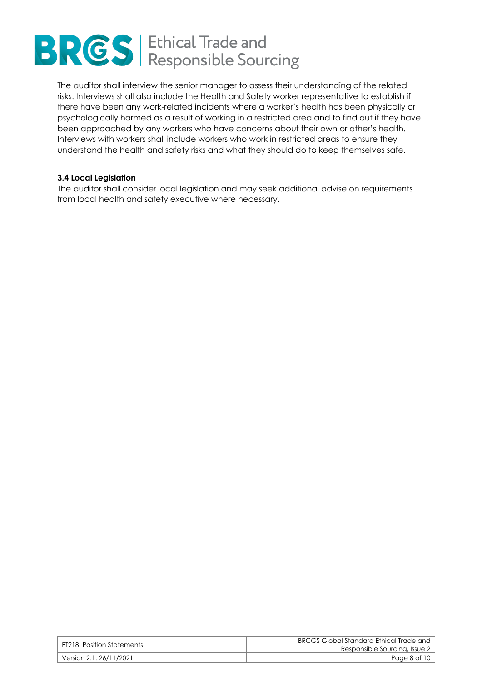

The auditor shall interview the senior manager to assess their understanding of the related risks. Interviews shall also include the Health and Safety worker representative to establish if there have been any work-related incidents where a worker's health has been physically or psychologically harmed as a result of working in a restricted area and to find out if they have been approached by any workers who have concerns about their own or other's health. Interviews with workers shall include workers who work in restricted areas to ensure they understand the health and safety risks and what they should do to keep themselves safe.

### **3.4 Local Legislation**

The auditor shall consider local legislation and may seek additional advise on requirements from local health and safety executive where necessary.

| ET218: Position Statements | BRCGS Global Standard Ethical Trade and<br>Responsible Sourcing, Issue 2 |
|----------------------------|--------------------------------------------------------------------------|
| Version 2.1: 26/11/2021 \, | Page 8 of 10                                                             |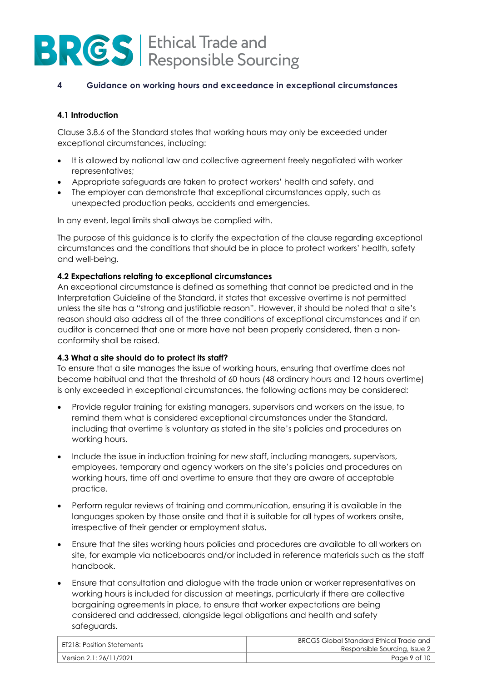### **4 Guidance on working hours and exceedance in exceptional circumstances**

### **4.1 Introduction**

Clause 3.8.6 of the Standard states that working hours may only be exceeded under exceptional circumstances, including:

- It is allowed by national law and collective agreement freely negotiated with worker representatives;
- Appropriate safeguards are taken to protect workers' health and safety, and
- The employer can demonstrate that exceptional circumstances apply, such as unexpected production peaks, accidents and emergencies.

In any event, legal limits shall always be complied with.

The purpose of this guidance is to clarify the expectation of the clause regarding exceptional circumstances and the conditions that should be in place to protect workers' health, safety and well-being.

### **4.2 Expectations relating to exceptional circumstances**

An exceptional circumstance is defined as something that cannot be predicted and in the Interpretation Guideline of the Standard, it states that excessive overtime is not permitted unless the site has a "strong and justifiable reason". However, it should be noted that a site's reason should also address all of the three conditions of exceptional circumstances and if an auditor is concerned that one or more have not been properly considered, then a nonconformity shall be raised.

### **4.3 What a site should do to protect its staff?**

To ensure that a site manages the issue of working hours, ensuring that overtime does not become habitual and that the threshold of 60 hours (48 ordinary hours and 12 hours overtime) is only exceeded in exceptional circumstances, the following actions may be considered:

- Provide regular training for existing managers, supervisors and workers on the issue, to remind them what is considered exceptional circumstances under the Standard, including that overtime is voluntary as stated in the site's policies and procedures on working hours.
- Include the issue in induction training for new staff, including managers, supervisors, employees, temporary and agency workers on the site's policies and procedures on working hours, time off and overtime to ensure that they are aware of acceptable practice.
- Perform regular reviews of training and communication, ensuring it is available in the languages spoken by those onsite and that it is suitable for all types of workers onsite, irrespective of their gender or employment status.
- Ensure that the sites working hours policies and procedures are available to all workers on site, for example via noticeboards and/or included in reference materials such as the staff handbook.
- Ensure that consultation and dialogue with the trade union or worker representatives on working hours is included for discussion at meetings, particularly if there are collective bargaining agreements in place, to ensure that worker expectations are being considered and addressed, alongside legal obligations and health and safety safeguards.

| ET218: Position Statements | BRCGS Global Standard Ethical Trade and<br>Responsible Sourcing, Issue 2 |
|----------------------------|--------------------------------------------------------------------------|
| Version 2.1: 26/11/2021    | Page 9 of 10                                                             |